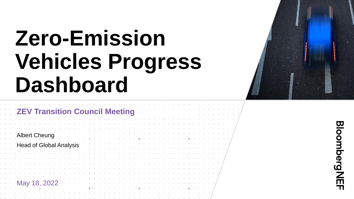# **Zero-Emission Vehicles Progress Dashboard**



| <b>ZEV Transition Council Meeting</b> |  |  |  |  |  |  |  |  |  |
|---------------------------------------|--|--|--|--|--|--|--|--|--|
|                                       |  |  |  |  |  |  |  |  |  |
|                                       |  |  |  |  |  |  |  |  |  |
| Albert Cheung                         |  |  |  |  |  |  |  |  |  |
| <b>Head of Global Analysis</b>        |  |  |  |  |  |  |  |  |  |
|                                       |  |  |  |  |  |  |  |  |  |
|                                       |  |  |  |  |  |  |  |  |  |
|                                       |  |  |  |  |  |  |  |  |  |
|                                       |  |  |  |  |  |  |  |  |  |
|                                       |  |  |  |  |  |  |  |  |  |
| May 18, 2022                          |  |  |  |  |  |  |  |  |  |
|                                       |  |  |  |  |  |  |  |  |  |
|                                       |  |  |  |  |  |  |  |  |  |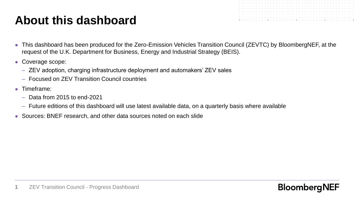# **About this dashboard**

- 
- This dashboard has been produced for the Zero-Emission Vehicles Transition Council (ZEVTC) by BloombergNEF, at the request of the U.K. Department for Business, Energy and Industrial Strategy (BEIS).
- Coverage scope:
	- ZEV adoption, charging infrastructure deployment and automakers' ZEV sales
	- Focused on ZEV Transition Council countries
- Timeframe:
	- Data from 2015 to end-2021
	- Future editions of this dashboard will use latest available data, on a quarterly basis where available
- Sources: BNEF research, and other data sources noted on each slide

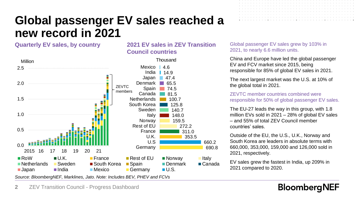# **Global passenger EV sales reached a new record in 2021**

**Council countries**

### **Quarterly EV sales, by country 2021 EV sales in ZEV Transition**



2021, to nearly 6.6 million units. China and Europe have led the global passenger

EV and FCV market since 2015, being responsible for 85% of global EV sales in 2021.

Global passenger EV sales grew by 103% in

The next largest market was the U.S. at 10% of the global total in 2021.

ZEVTC member countries combined were responsible for 50% of global passenger EV sales.

The EU-27 leads the way in this group, with 1.8 million EVs sold in 2021 – 28% of global EV sales – and 55% of total ZEV Council member countries' sales.

Outside of the EU, the U.S., U.K., Norway and South Korea are leaders in absolute terms with 660,000, 353,000, 159,000 and 126,000 sold in 2021, respectively.

EV sales grew the fastest in India, up 209% in 2021 compared to 2020.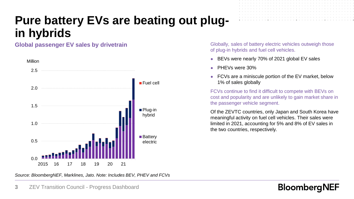# **Pure battery EVs are beating out plugin hybrids**

**Global passenger EV sales by drivetrain**



Globally, sales of battery electric vehicles outweigh those of plug-in hybrids and fuel cell vehicles.

- BEVs were nearly 70% of 2021 global EV sales
- PHEVs were 30%
- FCVs are a miniscule portion of the EV market, below 1% of sales globally

FCVs continue to find it difficult to compete with BEVs on cost and popularity and are unlikely to gain market share in the passenger vehicle segment.

Of the ZEVTC countries, only Japan and South Korea have meaningful activity on fuel cell vehicles. Their sales were limited in 2021, accounting for 5% and 8% of EV sales in the two countries, respectively.

**BloombergNEF** 

*Source: BloombergNEF, Marklines, Jato. Note: Includes BEV, PHEV and FCVs*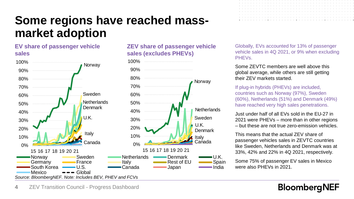# **Some regions have reached massmarket adoption**

### **EV share of passenger vehicle sales**



**ZEV share of passenger vehicle sales (excludes PHEVs)**

Globally, EVs accounted for 13% of passenger vehicle sales in 4Q 2021, or 9% when excluding PHEVs.

Some ZEVTC members are well above this global average, while others are still getting their ZEV markets started.

If plug-in hybrids (PHEVs) are included, countries such as Norway (97%), Sweden (60%), Netherlands (51%) and Denmark (49%) have reached very high sales penetrations.

Just under half of all EVs sold in the EU-27 in 2021 were PHEVs – more than in other regions – but these are not true zero-emission vehicles.

This means that the actual ZEV share of passenger vehicles sales in ZEVTC countries like Sweden, Netherlands and Denmark was at 33%, 42% and 22% in 4Q 2021, respectively.

Some 75% of passenger EV sales in Mexico were also PHEVs in 2021.

### **BloombergNEF**

#### **4** ZEV Transition Council - Progress Dashboard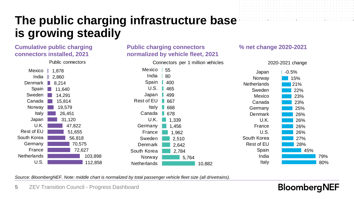# **The public charging infrastructure base is growing steadily**

### **Cumulative public charging connectors installed, 2021**



### **Public charging connectors normalized by vehicle fleet, 2021**

### **% net change 2020-2021**



*Source: BloombergNEF. Note: middle chart is normalized by total passenger vehicle fleet size (all drivetrains).*

**5** ZEV Transition Council - Progress Dashboard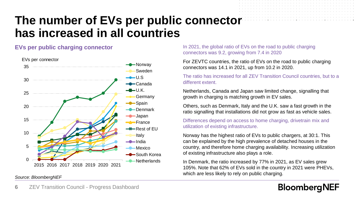## **The number of EVs per public connector has increased in all countries**



**EVs per public charging connector** In 2021, the global ratio of EVs on the road to public charging connectors was 9.2, growing from 7.4 in 2020

> For ZEVTC countries, the ratio of EVs on the road to public charging connectors was 14.1 in 2021, up from 10.2 in 2020.

The ratio has increased for all ZEV Transition Council countries, but to a different extent.

Netherlands, Canada and Japan saw limited change, signalling that growth in charging is matching growth in EV sales.

Others, such as Denmark, Italy and the U.K. saw a fast growth in the ratio signalling that installations did not grow as fast as vehicle sales.

Differences depend on access to home charging, drivetrain mix and utilization of existing infrastructure.

Norway has the highest ratio of EVs to public chargers, at 30:1. This can be explained by the high prevalence of detached houses in the country, and therefore home charging availability. Increasing utilization of existing infrastructure also plays a role.

In Denmark, the ratio increased by 77% in 2021, as EV sales grew 105%. Note that 62% of EVs sold in the country in 2021 were PHEVs, which are less likely to rely on public charging.

### **BloombergNEF**

#### *Source: BloombergNEF*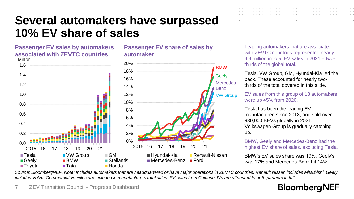# **Several automakers have surpassed 10% EV share of sales**

#### **Passenger EV sales by automakers associated with ZEVTC countries** Million



**automaker**

Leading automakers that are associated with **ZEVTC** countries represented nearly 4.4 million in total EV sales in 2021 – twothirds of the global total.

> Tesla, VW Group, GM, Hyundai-Kia led the pack. These accounted for nearly twothirds of the total covered in this slide.

EV sales from this group of 13 automakers were up 45% from 2020.

Tesla has been the leading EV manufacturer since 2018, and sold over 930,000 BEVs globally in 2021. Volkswagen Group is gradually catching up.

BMW, Geely and Mercedes-Benz had the highest EV share of sales, excluding Tesla.

BMW's EV sales share was 19%, Geely's was 17% and Mercedes-Benz hit 14%.

*Source: BloombergNEF. Note: Includes automakers that are headquartered or have major operations in ZEVTC countries. Renault Nissan includes Mitsubishi. Geely*  includes Volvo. Commercial vehicles are included in manufacturers total sales. EV sales from Chinese JVs are attributed to both partners in full.

**Passenger EV share of sales by**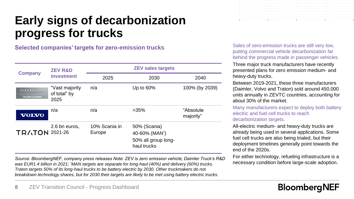# **Early signs of decarbonization progress for trucks**

**Selected companies' targets for zero-emission trucks**

|                                             | <b>ZEV R&amp;D</b>                     | <b>ZEV sales targets</b> |                                                                                  |                        |  |  |  |  |  |  |  |  |
|---------------------------------------------|----------------------------------------|--------------------------|----------------------------------------------------------------------------------|------------------------|--|--|--|--|--|--|--|--|
| <b>Company</b>                              | investment                             | 2025                     | 2030                                                                             | 2040                   |  |  |  |  |  |  |  |  |
| <b>DAIMLED</b><br><b>TRUCKS &amp; BUSES</b> | "Vast majority<br>of total" by<br>2025 | n/a                      | Up to $60\%$                                                                     | 100% (by 2039)         |  |  |  |  |  |  |  |  |
| <b>VOLVO</b>                                | n/a                                    | n/a                      | $>35\%$                                                                          | "Absolute<br>majority" |  |  |  |  |  |  |  |  |
| <b>TRATON 2021-26</b>                       | 2.6 bn euros,                          | 10% Scania in<br>Europe  | 50% (Scania)<br>40-60% (MAN <sup>*</sup> )<br>50% all group long-<br>haul trucks |                        |  |  |  |  |  |  |  |  |

*Source: BloombergNEF, company press releases Note: ZEV is zero emission vehicle; Daimler Truck's R&D was EUR1.4 billion in 2021; \*MAN targets are separate for long-haul (40%) and delivery (60%) trucks. Traton targets 50% of its long-haul trucks to be battery electric by 2030. Other truckmakers do not breakdown technology shares, but for 2030 their targets are likely to be met using battery electric trucks.* 

|  |  |  |  |  |  |  |  |  |  |  |  |  |  |  |  |  |  | a caracteristic and caracteristic and a caracteristic and a caracteristic and a caracteristic and a caracteristic |  |
|--|--|--|--|--|--|--|--|--|--|--|--|--|--|--|--|--|--|-------------------------------------------------------------------------------------------------------------------|--|
|  |  |  |  |  |  |  |  |  |  |  |  |  |  |  |  |  |  |                                                                                                                   |  |
|  |  |  |  |  |  |  |  |  |  |  |  |  |  |  |  |  |  |                                                                                                                   |  |
|  |  |  |  |  |  |  |  |  |  |  |  |  |  |  |  |  |  |                                                                                                                   |  |
|  |  |  |  |  |  |  |  |  |  |  |  |  |  |  |  |  |  |                                                                                                                   |  |
|  |  |  |  |  |  |  |  |  |  |  |  |  |  |  |  |  |  |                                                                                                                   |  |
|  |  |  |  |  |  |  |  |  |  |  |  |  |  |  |  |  |  |                                                                                                                   |  |
|  |  |  |  |  |  |  |  |  |  |  |  |  |  |  |  |  |  |                                                                                                                   |  |

Sales of zero-emission trucks are still very low, putting commercial vehicle decarbonization far behind the progress made in passenger vehicles.

Three major truck manufacturers have recently presented plans for zero emission medium- and heavy-duty trucks.

Between 2019-2021, these three manufacturers (Daimler, Volvo and Traton) sold around 450,000 units annually in ZEVTC countries, accounting for about 30% of the market.

Many manufacturers expect to deploy both battery electric and fuel cell trucks to reach decarbonization targets.

All-electric medium- and heavy-duty trucks are already being used in several applications. Some fuel cell trucks are also being trialed, but their deployment timelines generally point towards the end of the 2020s.

For either technology, refueling infrastructure is a necessary condition before large-scale adoption.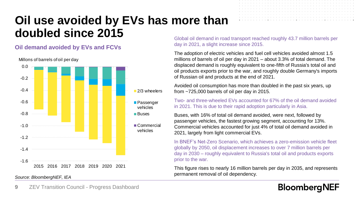# **Oil use avoided by EVs has more than doubled since 2015**

### **Oil demand avoided by EVs and FCVs**



Millons of barrels of oil per day

*Source: BloombergNEF, IEA*

Global oil demand in road transport reached roughly 43.7 million barrels per day in 2021, a slight increase since 2015.

The adoption of electric vehicles and fuel cell vehicles avoided almost 1.5 millions of barrels of oil per day in 2021 – about 3.3% of total demand. The displaced demand is roughly equivalent to one-fifth of Russia's total oil and oil products exports prior to the war, and roughly double Germany's imports of Russian oil and products at the end of 2021.

Avoided oil consumption has more than doubled in the past six years, up from ~725,000 barrels of oil per day in 2015.

Two- and three-wheeled EVs accounted for 67% of the oil demand avoided in 2021. This is due to their rapid adoption particularly in Asia.

Buses, with 16% of total oil demand avoided, were next, followed by passenger vehicles, the fastest growing segment, accounting for 13%. Commercial vehicles accounted for just 4% of total oil demand avoided in 2021, largely from light commercial EVs.

In BNEF's Net-Zero Scenario, which achieves a zero-emission vehicle fleet globally by 2050, oil displacement increases to over 7 million barrels per day in 2030 – roughly equivalent to Russia's total oil and products exports prior to the war.

This figure rises to nearly 16 million barrels per day in 2035, and represents permanent removal of oil dependency.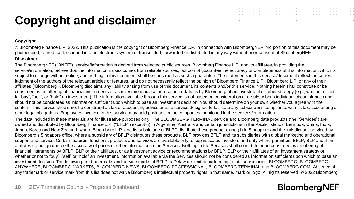# **Copyright and disclaimer**



#### **Copyright**

© Bloomberg Finance L.P. 2022. This publication is the copyright of Bloomberg Finance L.P. in connection with BloombergNEF. No portion of this document may be photocopied, reproduced, scanned into an electronic system or transmitted, forwarded or distributed in any way without prior consent of BloombergNEF.

#### **Disclaimer**

The BloombergNEF ("BNEF"), service/information is derived from selected public sources. Bloomberg Finance L.P. and its affiliates, in providing the service/information, believe that the information it uses comes from reliable sources, but do not quarantee the accuracy or completeness of this information, which is subject to change without notice, and nothing in this document shall be construed as such a guarantee. The statements in this service/document reflect the current judgment of the authors of the relevant articles or features, and do not necessarily reflect the opinion of Bloomberg Finance L.P., Bloomberg L.P. or any of their affiliates ("Bloomberg"). Bloomberg disclaims any liability arising from use of this document, its contents and/or this service. Nothing herein shall constitute or be construed as an offering of financial instruments or as investment advice or recommendations by Bloomberg of an investment or other strategy (e.g., whether or not to "buy", "sell", or "hold" an investment). The information available through this service is not based on consideration of a subscriber's individual circumstances and should not be considered as information sufficient upon which to base an investment decision. You should determine on your own whether you agree with the content. This service should not be construed as tax or accounting advice or as a service designed to facilitate any subscriber's compliance with its tax, accounting or other legal obligations. Employees involved in this service may hold positions in the companies mentioned in the services/information.

The data included in these materials are for illustrative purposes only. The BLOOMBERG TERMINAL service and Bloomberg data products (the "Services") are owned and distributed by Bloomberg Finance L.P. ("BFLP") except (i) in Argentina, Australia and certain jurisdictions in the Pacific islands, Bermuda, China, India, Japan, Korea and New Zealand, where Bloomberg L.P. and its subsidiaries ("BLP") distribute these products, and (ii) in Singapore and the jurisdictions serviced by Bloomberg's Singapore office, where a subsidiary of BFLP distributes these products. BLP provides BFLP and its subsidiaries with global marketing and operational support and service. Certain features, functions, products and services are available only to sophisticated investors and only where permitted. BFLP, BLP and their affiliates do not guarantee the accuracy of prices or other information in the Services. Nothing in the Services shall constitute or be construed as an offering of financial instruments by BFLP, BLP or their affiliates, or as investment advice or recommendations by BFLP, BLP or their affiliates of an investment strategy or whether or not to "buy", "sell" or "hold" an investment. Information available via the Services should not be considered as information sufficient upon which to base an investment decision. The following are trademarks and service marks of BFLP, a Delaware limited partnership, or its subsidiaries: BLOOMBERG, BLOOMBERG ANYWHERE, BLOOMBERG MARKETS, BLOOMBERG NEWS, BLOOMBERG PROFESSIONAL, BLOOMBERG TERMINAL and BLOOMBERG.COM. Absence of any trademark or service mark from this list does not waive Bloomberg's intellectual property rights in that name, mark or logo. All rights reserved. © 2022 Bloomberg.